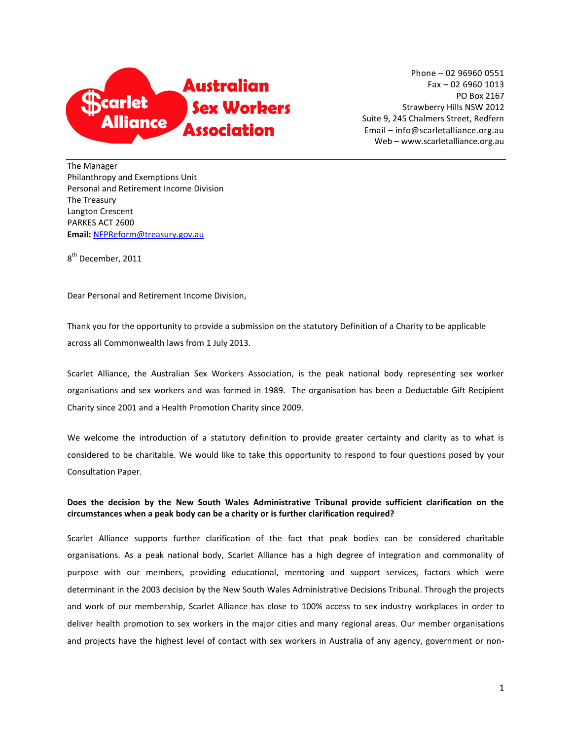

Phone – 02 96960 0551 Fax – 02 6960 1013 PO Box 2167 Strawberry Hills NSW 2012 Suite 9, 245 Chalmers Street, Redfern Email – info@scarletalliance.org.au Web – www.scarletalliance.org.au

The Manager Philanthropy and Exemptions Unit Personal and Retirement Income Division The Treasury Langton Crescent PARKES ACT 2600 **Email:** [NFPReform@treasury.gov.au](mailto:NFPReform@treasury.gov.au)

8<sup>th</sup> December, 2011

Dear Personal and Retirement Income Division,

Thank you for the opportunity to provide a submission on the statutory Definition of a Charity to be applicable across all Commonwealth laws from 1 July 2013.

Scarlet Alliance, the Australian Sex Workers Association, is the peak national body representing sex worker organisations and sex workers and was formed in 1989. The organisation has been a Deductable Gift Recipient Charity since 2001 and a Health Promotion Charity since 2009.

We welcome the introduction of a statutory definition to provide greater certainty and clarity as to what is considered to be charitable. We would like to take this opportunity to respond to four questions posed by your Consultation Paper.

**Does the decision by the New South Wales Administrative Tribunal provide sufficient clarification on the circumstances when a peak body can be a charity or is further clarification required?** 

Scarlet Alliance supports further clarification of the fact that peak bodies can be considered charitable organisations. As a peak national body, Scarlet Alliance has a high degree of integration and commonality of purpose with our members, providing educational, mentoring and support services, factors which were determinant in the 2003 decision by the New South Wales Administrative Decisions Tribunal. Through the projects and work of our membership, Scarlet Alliance has close to 100% access to sex industry workplaces in order to deliver health promotion to sex workers in the major cities and many regional areas. Our member organisations and projects have the highest level of contact with sex workers in Australia of any agency, government or non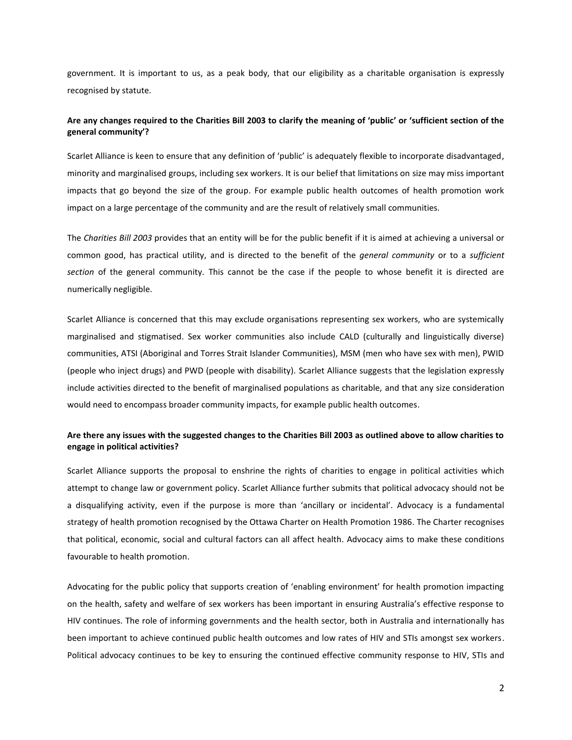government. It is important to us, as a peak body, that our eligibility as a charitable organisation is expressly recognised by statute.

## **Are any changes required to the Charities Bill 2003 to clarify the meaning of 'public' or 'sufficient section of the general community'?**

Scarlet Alliance is keen to ensure that any definition of 'public' is adequately flexible to incorporate disadvantaged, minority and marginalised groups, including sex workers. It is our belief that limitations on size may miss important impacts that go beyond the size of the group. For example public health outcomes of health promotion work impact on a large percentage of the community and are the result of relatively small communities.

The *Charities Bill 2003* provides that an entity will be for the public benefit if it is aimed at achieving a universal or common good, has practical utility, and is directed to the benefit of the *general community* or to a *sufficient section* of the general community. This cannot be the case if the people to whose benefit it is directed are numerically negligible.

Scarlet Alliance is concerned that this may exclude organisations representing sex workers, who are systemically marginalised and stigmatised. Sex worker communities also include CALD (culturally and linguistically diverse) communities, ATSI (Aboriginal and Torres Strait Islander Communities), MSM (men who have sex with men), PWID (people who inject drugs) and PWD (people with disability). Scarlet Alliance suggests that the legislation expressly include activities directed to the benefit of marginalised populations as charitable, and that any size consideration would need to encompass broader community impacts, for example public health outcomes.

## **Are there any issues with the suggested changes to the Charities Bill 2003 as outlined above to allow charities to engage in political activities?**

Scarlet Alliance supports the proposal to enshrine the rights of charities to engage in political activities which attempt to change law or government policy. Scarlet Alliance further submits that political advocacy should not be a disqualifying activity, even if the purpose is more than 'ancillary or incidental'. Advocacy is a fundamental strategy of health promotion recognised by the Ottawa Charter on Health Promotion 1986. The Charter recognises that political, economic, social and cultural factors can all affect health. Advocacy aims to make these conditions favourable to health promotion.

Advocating for the public policy that supports creation of 'enabling environment' for health promotion impacting on the health, safety and welfare of sex workers has been important in ensuring Australia's effective response to HIV continues. The role of informing governments and the health sector, both in Australia and internationally has been important to achieve continued public health outcomes and low rates of HIV and STIs amongst sex workers. Political advocacy continues to be key to ensuring the continued effective community response to HIV, STIs and